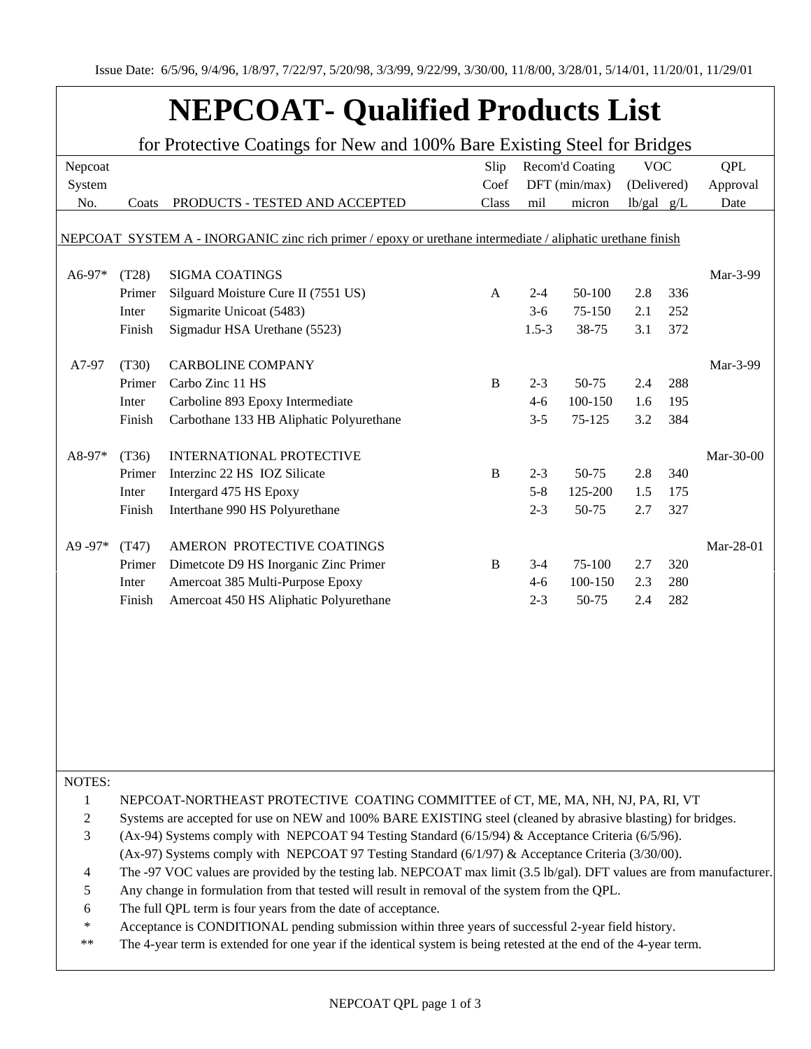## **NEPCOAT- Qualified Products List**

| for Protective Coatings for New and 100% Bare Existing Steel for Bridges |                                                                                                                                                                                                          |                                                                                                            |              |                 |         |                |     |            |  |
|--------------------------------------------------------------------------|----------------------------------------------------------------------------------------------------------------------------------------------------------------------------------------------------------|------------------------------------------------------------------------------------------------------------|--------------|-----------------|---------|----------------|-----|------------|--|
| Nepcoat                                                                  |                                                                                                                                                                                                          |                                                                                                            | Slip         | Recom'd Coating |         | <b>VOC</b>     |     | <b>QPL</b> |  |
| System                                                                   |                                                                                                                                                                                                          |                                                                                                            | Coef         | DFT (min/max)   |         | (Delivered)    |     | Approval   |  |
| No.                                                                      | Coats                                                                                                                                                                                                    | PRODUCTS - TESTED AND ACCEPTED                                                                             | Class        | mil             | micron  | $lb/gal$ $g/L$ |     | Date       |  |
|                                                                          |                                                                                                                                                                                                          |                                                                                                            |              |                 |         |                |     |            |  |
|                                                                          |                                                                                                                                                                                                          | NEPCOAT SYSTEM A - INORGANIC zinc rich primer / epoxy or urethane intermediate / aliphatic urethane finish |              |                 |         |                |     |            |  |
|                                                                          |                                                                                                                                                                                                          |                                                                                                            |              |                 |         |                |     |            |  |
| A6-97*                                                                   | (T28)                                                                                                                                                                                                    | <b>SIGMA COATINGS</b>                                                                                      |              |                 |         |                |     | Mar-3-99   |  |
|                                                                          | Primer                                                                                                                                                                                                   | Silguard Moisture Cure II (7551 US)<br>Sigmarite Unicoat (5483)                                            | A            | $2 - 4$         | 50-100  | 2.8            | 336 |            |  |
|                                                                          | Inter                                                                                                                                                                                                    |                                                                                                            |              | $3-6$           | 75-150  | 2.1            | 252 |            |  |
|                                                                          | Finish                                                                                                                                                                                                   | Sigmadur HSA Urethane (5523)                                                                               |              | $1.5 - 3$       | 38-75   | 3.1            | 372 |            |  |
| A7-97                                                                    | (T30)                                                                                                                                                                                                    | <b>CARBOLINE COMPANY</b>                                                                                   |              |                 |         |                |     | Mar-3-99   |  |
|                                                                          | Primer                                                                                                                                                                                                   | Carbo Zinc 11 HS                                                                                           | $\, {\bf B}$ | $2 - 3$         | 50-75   | 2.4            | 288 |            |  |
|                                                                          | Inter                                                                                                                                                                                                    | Carboline 893 Epoxy Intermediate                                                                           |              | $4-6$           | 100-150 | 1.6            | 195 |            |  |
|                                                                          | Finish                                                                                                                                                                                                   | Carbothane 133 HB Aliphatic Polyurethane                                                                   |              | $3 - 5$         | 75-125  | 3.2            | 384 |            |  |
|                                                                          |                                                                                                                                                                                                          |                                                                                                            |              |                 |         |                |     |            |  |
| A8-97*                                                                   | (T36)                                                                                                                                                                                                    | <b>INTERNATIONAL PROTECTIVE</b>                                                                            |              |                 |         |                |     | Mar-30-00  |  |
|                                                                          | Primer                                                                                                                                                                                                   | Interzinc 22 HS IOZ Silicate                                                                               | $\, {\bf B}$ | $2 - 3$         | 50-75   | 2.8            | 340 |            |  |
|                                                                          | Inter                                                                                                                                                                                                    | Intergard 475 HS Epoxy                                                                                     |              | $5 - 8$         | 125-200 | 1.5            | 175 |            |  |
|                                                                          | Finish                                                                                                                                                                                                   | Interthane 990 HS Polyurethane                                                                             |              | $2 - 3$         | 50-75   | 2.7            | 327 |            |  |
|                                                                          |                                                                                                                                                                                                          |                                                                                                            |              |                 |         |                |     |            |  |
| A9-97*                                                                   | (T47)                                                                                                                                                                                                    | AMERON PROTECTIVE COATINGS                                                                                 |              |                 |         |                |     | Mar-28-01  |  |
|                                                                          | Primer                                                                                                                                                                                                   | Dimetcote D9 HS Inorganic Zinc Primer                                                                      | $\bf{B}$     | $3-4$           | 75-100  | 2.7            | 320 |            |  |
|                                                                          | Inter                                                                                                                                                                                                    | Amercoat 385 Multi-Purpose Epoxy                                                                           |              | $4 - 6$         | 100-150 | 2.3            | 280 |            |  |
|                                                                          | Finish                                                                                                                                                                                                   | Amercoat 450 HS Aliphatic Polyurethane                                                                     |              | $2 - 3$         | 50-75   | 2.4            | 282 |            |  |
|                                                                          |                                                                                                                                                                                                          |                                                                                                            |              |                 |         |                |     |            |  |
|                                                                          |                                                                                                                                                                                                          |                                                                                                            |              |                 |         |                |     |            |  |
|                                                                          |                                                                                                                                                                                                          |                                                                                                            |              |                 |         |                |     |            |  |
|                                                                          |                                                                                                                                                                                                          |                                                                                                            |              |                 |         |                |     |            |  |
|                                                                          |                                                                                                                                                                                                          |                                                                                                            |              |                 |         |                |     |            |  |
|                                                                          |                                                                                                                                                                                                          |                                                                                                            |              |                 |         |                |     |            |  |
|                                                                          |                                                                                                                                                                                                          |                                                                                                            |              |                 |         |                |     |            |  |
|                                                                          |                                                                                                                                                                                                          |                                                                                                            |              |                 |         |                |     |            |  |
| NOTES:                                                                   |                                                                                                                                                                                                          |                                                                                                            |              |                 |         |                |     |            |  |
| 1                                                                        |                                                                                                                                                                                                          | NEPCOAT-NORTHEAST PROTECTIVE COATING COMMITTEE of CT, ME, MA, NH, NJ, PA, RI, VT                           |              |                 |         |                |     |            |  |
| 2                                                                        |                                                                                                                                                                                                          |                                                                                                            |              |                 |         |                |     |            |  |
| 3                                                                        | Systems are accepted for use on NEW and 100% BARE EXISTING steel (cleaned by abrasive blasting) for bridges.                                                                                             |                                                                                                            |              |                 |         |                |     |            |  |
|                                                                          | (Ax-94) Systems comply with NEPCOAT 94 Testing Standard (6/15/94) & Acceptance Criteria (6/5/96).<br>(Ax-97) Systems comply with NEPCOAT 97 Testing Standard $(6/1/97)$ & Acceptance Criteria (3/30/00). |                                                                                                            |              |                 |         |                |     |            |  |
| 4                                                                        | The -97 VOC values are provided by the testing lab. NEPCOAT max limit (3.5 lb/gal). DFT values are from manufacturer.                                                                                    |                                                                                                            |              |                 |         |                |     |            |  |
| 5                                                                        | Any change in formulation from that tested will result in removal of the system from the QPL.                                                                                                            |                                                                                                            |              |                 |         |                |     |            |  |
| 6                                                                        | The full QPL term is four years from the date of acceptance.                                                                                                                                             |                                                                                                            |              |                 |         |                |     |            |  |
| ∗                                                                        | Acceptance is CONDITIONAL pending submission within three years of successful 2-year field history.                                                                                                      |                                                                                                            |              |                 |         |                |     |            |  |
| $***$                                                                    | The 4-year term is extended for one year if the identical system is being retested at the end of the 4-year term.                                                                                        |                                                                                                            |              |                 |         |                |     |            |  |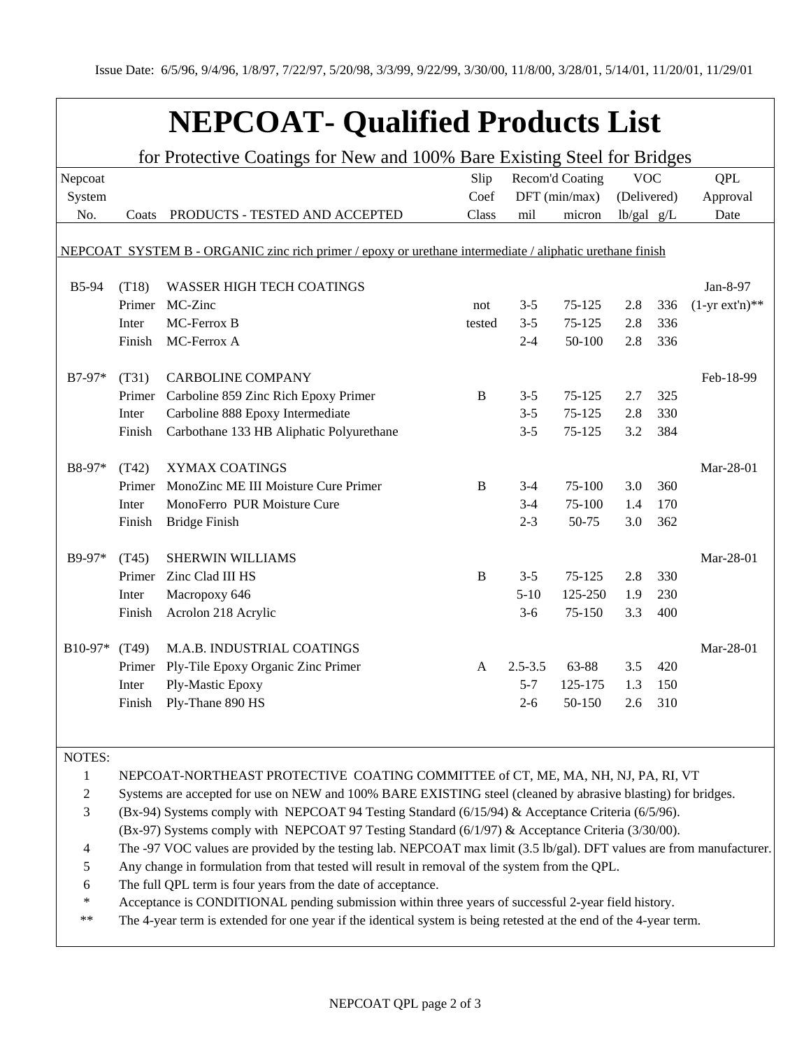## **NEPCOAT- Qualified Products List**

| for Protective Coatings for New and 100% Bare Existing Steel for Bridges |        |                                                                                                          |          |             |               |                |     |                  |
|--------------------------------------------------------------------------|--------|----------------------------------------------------------------------------------------------------------|----------|-------------|---------------|----------------|-----|------------------|
| Nepcoat                                                                  |        | Recom'd Coating<br>Slip                                                                                  |          |             |               | <b>VOC</b>     |     | <b>QPL</b>       |
| System                                                                   |        |                                                                                                          | Coef     |             | DFT (min/max) | (Delivered)    |     | Approval         |
| No.                                                                      | Coats  | PRODUCTS - TESTED AND ACCEPTED                                                                           | Class    | mil         | micron        | $lb/gal$ $g/L$ |     | Date             |
|                                                                          |        |                                                                                                          |          |             |               |                |     |                  |
|                                                                          |        | NEPCOAT SYSTEM B - ORGANIC zinc rich primer / epoxy or urethane intermediate / aliphatic urethane finish |          |             |               |                |     |                  |
|                                                                          |        |                                                                                                          |          |             |               |                |     |                  |
| <b>B5-94</b>                                                             | (T18)  | <b>WASSER HIGH TECH COATINGS</b>                                                                         |          |             |               |                |     | Jan-8-97         |
|                                                                          | Primer | MC-Zinc                                                                                                  | not      | $3 - 5$     | 75-125        | 2.8            | 336 | $(1-yr ext'n)**$ |
|                                                                          | Inter  | MC-Ferrox B                                                                                              | tested   | $3 - 5$     | $75 - 125$    | 2.8            | 336 |                  |
|                                                                          | Finish | MC-Ferrox A                                                                                              |          | $2 - 4$     | 50-100        | 2.8            | 336 |                  |
|                                                                          |        |                                                                                                          |          |             |               |                |     |                  |
| B7-97*                                                                   | (T31)  | <b>CARBOLINE COMPANY</b>                                                                                 |          |             |               |                |     | Feb-18-99        |
|                                                                          | Primer | Carboline 859 Zinc Rich Epoxy Primer                                                                     | B        | $3 - 5$     | 75-125        | 2.7            | 325 |                  |
|                                                                          | Inter  | Carboline 888 Epoxy Intermediate                                                                         |          | $3 - 5$     | 75-125        | 2.8            | 330 |                  |
|                                                                          | Finish | Carbothane 133 HB Aliphatic Polyurethane                                                                 |          | $3 - 5$     | 75-125        | 3.2            | 384 |                  |
|                                                                          |        |                                                                                                          |          |             |               |                |     |                  |
| B8-97*                                                                   | (T42)  | <b>XYMAX COATINGS</b>                                                                                    |          |             |               |                |     | Mar-28-01        |
|                                                                          | Primer | MonoZinc ME III Moisture Cure Primer                                                                     | B        | $3-4$       | 75-100        | 3.0            | 360 |                  |
|                                                                          | Inter  | MonoFerro PUR Moisture Cure                                                                              |          | $3-4$       | $75-100$      | 1.4            | 170 |                  |
|                                                                          | Finish | <b>Bridge Finish</b>                                                                                     |          | $2 - 3$     | 50-75         | 3.0            | 362 |                  |
|                                                                          |        |                                                                                                          |          |             |               |                |     |                  |
| B9-97*                                                                   | (T45)  | <b>SHERWIN WILLIAMS</b>                                                                                  |          |             |               |                |     | Mar-28-01        |
|                                                                          | Primer | Zinc Clad III HS                                                                                         | $\bf{B}$ | $3 - 5$     | 75-125        | 2.8            | 330 |                  |
|                                                                          | Inter  | Macropoxy 646                                                                                            |          | $5 - 10$    | 125-250       | 1.9            | 230 |                  |
|                                                                          | Finish | Acrolon 218 Acrylic                                                                                      |          | $3-6$       | 75-150        | 3.3            | 400 |                  |
|                                                                          |        |                                                                                                          |          |             |               |                |     |                  |
| B10-97*                                                                  | (T49)  | M.A.B. INDUSTRIAL COATINGS                                                                               |          |             |               |                |     | Mar-28-01        |
|                                                                          | Primer | Ply-Tile Epoxy Organic Zinc Primer                                                                       | A        | $2.5 - 3.5$ | 63-88         | 3.5            | 420 |                  |
|                                                                          | Inter  | Ply-Mastic Epoxy                                                                                         |          | $5 - 7$     | 125-175       | 1.3            | 150 |                  |
|                                                                          | Finish | Ply-Thane 890 HS                                                                                         |          | $2 - 6$     | 50-150        | 2.6            | 310 |                  |
|                                                                          |        |                                                                                                          |          |             |               |                |     |                  |

NOTES:

1 NEPCOAT-NORTHEAST PROTECTIVE COATING COMMITTEE of CT, ME, MA, NH, NJ, PA, RI, VT

2 Systems are accepted for use on NEW and 100% BARE EXISTING steel (cleaned by abrasive blasting) for bridges.

3 (Bx-94) Systems comply with NEPCOAT 94 Testing Standard (6/15/94) & Acceptance Criteria (6/5/96).

(Bx-97) Systems comply with NEPCOAT 97 Testing Standard (6/1/97) & Acceptance Criteria (3/30/00).

4 The -97 VOC values are provided by the testing lab. NEPCOAT max limit (3.5 lb/gal). DFT values are from manufacturer.

5 Any change in formulation from that tested will result in removal of the system from the QPL.

6 The full QPL term is four years from the date of acceptance.

\* Acceptance is CONDITIONAL pending submission within three years of successful 2-year field history.

\*\* The 4-year term is extended for one year if the identical system is being retested at the end of the 4-year term.